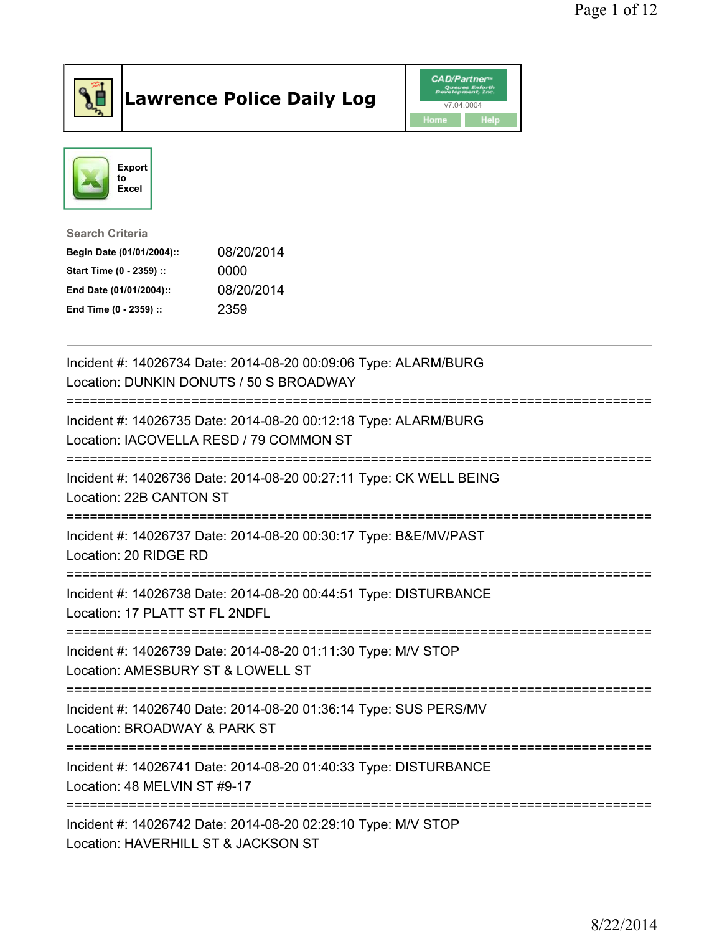

## Lawrence Police Daily Log **Daniel CAD/Partner**





Search Criteria Begin Date (01/01/2004):: 08/20/2014 Start Time (0 - 2359) :: 0000 End Date (01/01/2004):: 08/20/2014 End Time (0 - 2359) :: 2359

| Incident #: 14026734 Date: 2014-08-20 00:09:06 Type: ALARM/BURG<br>Location: DUNKIN DONUTS / 50 S BROADWAY |
|------------------------------------------------------------------------------------------------------------|
| Incident #: 14026735 Date: 2014-08-20 00:12:18 Type: ALARM/BURG<br>Location: IACOVELLA RESD / 79 COMMON ST |
| Incident #: 14026736 Date: 2014-08-20 00:27:11 Type: CK WELL BEING<br>Location: 22B CANTON ST              |
| Incident #: 14026737 Date: 2014-08-20 00:30:17 Type: B&E/MV/PAST<br>Location: 20 RIDGE RD                  |
| Incident #: 14026738 Date: 2014-08-20 00:44:51 Type: DISTURBANCE<br>Location: 17 PLATT ST FL 2NDFL         |
| Incident #: 14026739 Date: 2014-08-20 01:11:30 Type: M/V STOP<br>Location: AMESBURY ST & LOWELL ST         |
| Incident #: 14026740 Date: 2014-08-20 01:36:14 Type: SUS PERS/MV<br>Location: BROADWAY & PARK ST           |
| Incident #: 14026741 Date: 2014-08-20 01:40:33 Type: DISTURBANCE<br>Location: 48 MELVIN ST #9-17           |
| Incident #: 14026742 Date: 2014-08-20 02:29:10 Type: M/V STOP<br>Location: HAVERHILL ST & JACKSON ST       |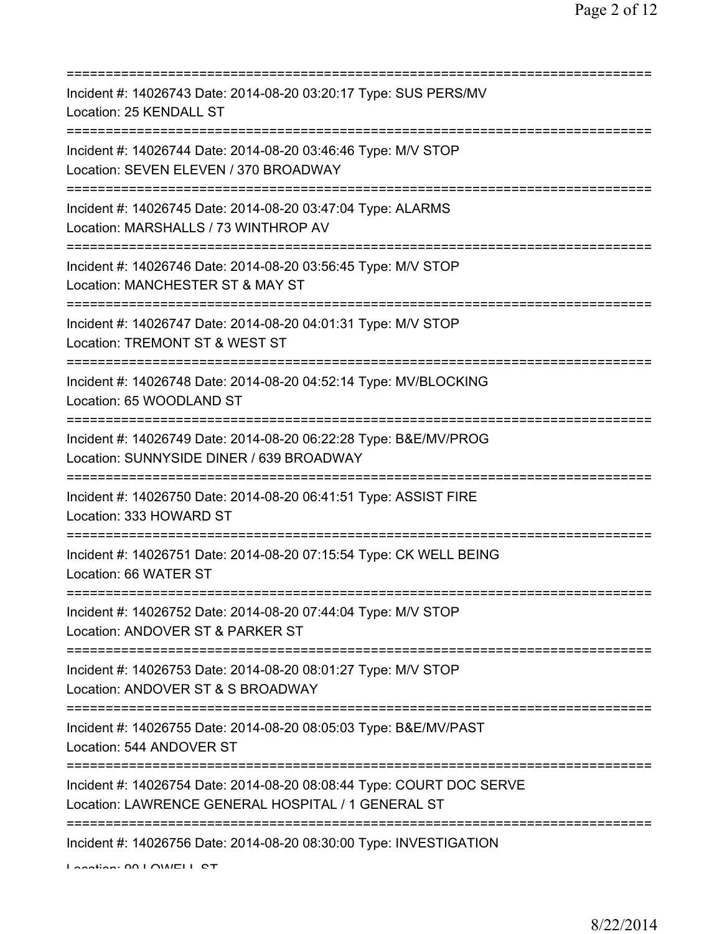| Incident #: 14026743 Date: 2014-08-20 03:20:17 Type: SUS PERS/MV<br>Location: 25 KENDALL ST                                                                                               |
|-------------------------------------------------------------------------------------------------------------------------------------------------------------------------------------------|
| Incident #: 14026744 Date: 2014-08-20 03:46:46 Type: M/V STOP<br>Location: SEVEN ELEVEN / 370 BROADWAY<br>==============================                                                  |
| Incident #: 14026745 Date: 2014-08-20 03:47:04 Type: ALARMS<br>Location: MARSHALLS / 73 WINTHROP AV                                                                                       |
| Incident #: 14026746 Date: 2014-08-20 03:56:45 Type: M/V STOP<br>Location: MANCHESTER ST & MAY ST<br>============================                                                         |
| Incident #: 14026747 Date: 2014-08-20 04:01:31 Type: M/V STOP<br>Location: TREMONT ST & WEST ST<br>=====================================                                                  |
| Incident #: 14026748 Date: 2014-08-20 04:52:14 Type: MV/BLOCKING<br>Location: 65 WOODLAND ST<br>===================================                                                       |
| Incident #: 14026749 Date: 2014-08-20 06:22:28 Type: B&E/MV/PROG<br>Location: SUNNYSIDE DINER / 639 BROADWAY                                                                              |
| Incident #: 14026750 Date: 2014-08-20 06:41:51 Type: ASSIST FIRE<br>Location: 333 HOWARD ST                                                                                               |
| Incident #: 14026751 Date: 2014-08-20 07:15:54 Type: CK WELL BEING<br>Location: 66 WATER ST                                                                                               |
| Incident #: 14026752 Date: 2014-08-20 07:44:04 Type: M/V STOP<br>Location: ANDOVER ST & PARKER ST                                                                                         |
| Incident #: 14026753 Date: 2014-08-20 08:01:27 Type: M/V STOP<br>Location: ANDOVER ST & S BROADWAY                                                                                        |
| Incident #: 14026755 Date: 2014-08-20 08:05:03 Type: B&E/MV/PAST<br>Location: 544 ANDOVER ST                                                                                              |
| :====================<br>Incident #: 14026754 Date: 2014-08-20 08:08:44 Type: COURT DOC SERVE<br>Location: LAWRENCE GENERAL HOSPITAL / 1 GENERAL ST<br>================================== |
| Incident #: 14026756 Date: 2014-08-20 08:30:00 Type: INVESTIGATION                                                                                                                        |

Location: 90 LOWELL ST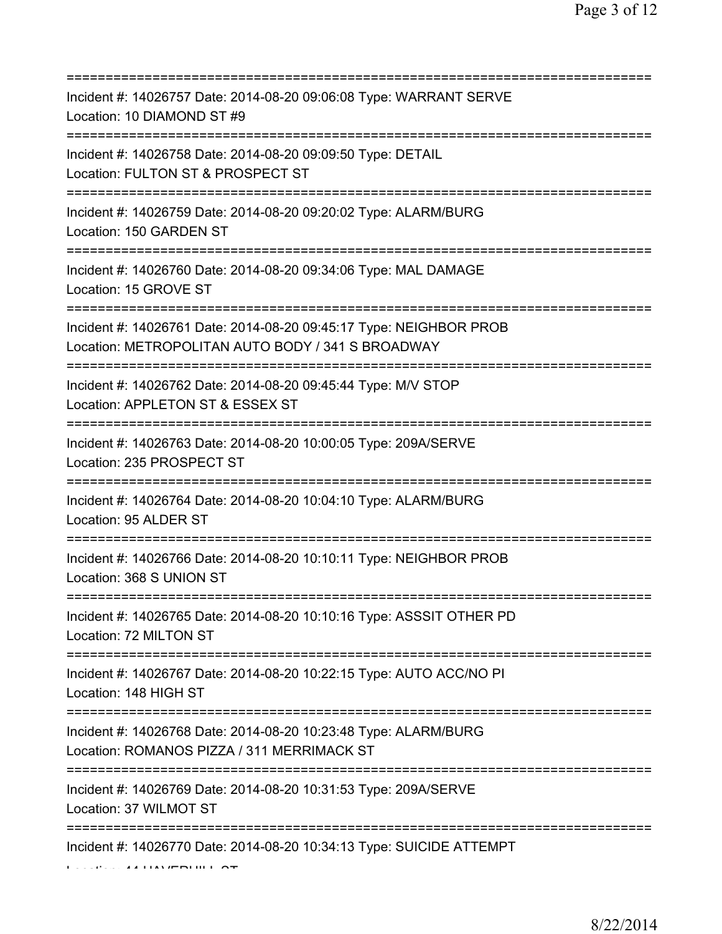| Incident #: 14026757 Date: 2014-08-20 09:06:08 Type: WARRANT SERVE<br>Location: 10 DIAMOND ST #9                                     |
|--------------------------------------------------------------------------------------------------------------------------------------|
| Incident #: 14026758 Date: 2014-08-20 09:09:50 Type: DETAIL<br>Location: FULTON ST & PROSPECT ST<br>======================           |
| Incident #: 14026759 Date: 2014-08-20 09:20:02 Type: ALARM/BURG<br>Location: 150 GARDEN ST<br>=====================================  |
| Incident #: 14026760 Date: 2014-08-20 09:34:06 Type: MAL DAMAGE<br>Location: 15 GROVE ST                                             |
| Incident #: 14026761 Date: 2014-08-20 09:45:17 Type: NEIGHBOR PROB<br>Location: METROPOLITAN AUTO BODY / 341 S BROADWAY              |
| Incident #: 14026762 Date: 2014-08-20 09:45:44 Type: M/V STOP<br>Location: APPLETON ST & ESSEX ST                                    |
| Incident #: 14026763 Date: 2014-08-20 10:00:05 Type: 209A/SERVE<br>Location: 235 PROSPECT ST                                         |
| Incident #: 14026764 Date: 2014-08-20 10:04:10 Type: ALARM/BURG<br>Location: 95 ALDER ST                                             |
| Incident #: 14026766 Date: 2014-08-20 10:10:11 Type: NEIGHBOR PROB<br>Location: 368 S UNION ST                                       |
| Incident #: 14026765 Date: 2014-08-20 10:10:16 Type: ASSSIT OTHER PD<br>Location: 72 MILTON ST                                       |
| Incident #: 14026767 Date: 2014-08-20 10:22:15 Type: AUTO ACC/NO PI<br>Location: 148 HIGH ST<br>:=================================== |
| Incident #: 14026768 Date: 2014-08-20 10:23:48 Type: ALARM/BURG<br>Location: ROMANOS PIZZA / 311 MERRIMACK ST                        |
| Incident #: 14026769 Date: 2014-08-20 10:31:53 Type: 209A/SERVE<br>Location: 37 WILMOT ST                                            |
| Incident #: 14026770 Date: 2014-08-20 10:34:13 Type: SUICIDE ATTEMPT                                                                 |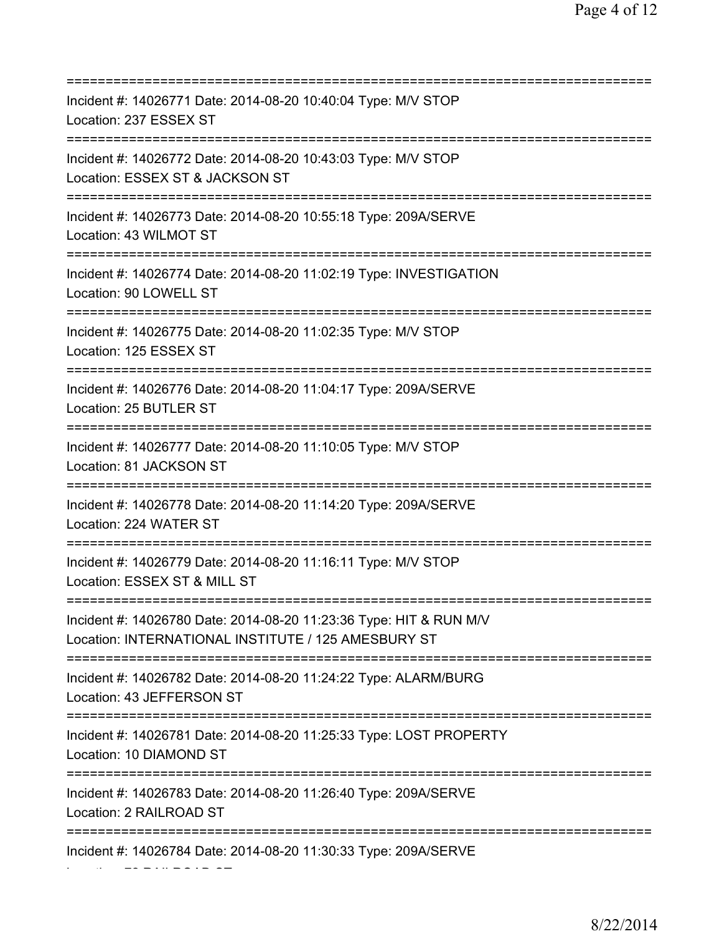| Incident #: 14026771 Date: 2014-08-20 10:40:04 Type: M/V STOP<br>Location: 237 ESSEX ST                                           |
|-----------------------------------------------------------------------------------------------------------------------------------|
| Incident #: 14026772 Date: 2014-08-20 10:43:03 Type: M/V STOP<br>Location: ESSEX ST & JACKSON ST                                  |
| Incident #: 14026773 Date: 2014-08-20 10:55:18 Type: 209A/SERVE<br>Location: 43 WILMOT ST                                         |
| Incident #: 14026774 Date: 2014-08-20 11:02:19 Type: INVESTIGATION<br>Location: 90 LOWELL ST<br>================================= |
| Incident #: 14026775 Date: 2014-08-20 11:02:35 Type: M/V STOP<br>Location: 125 ESSEX ST<br>================================       |
| Incident #: 14026776 Date: 2014-08-20 11:04:17 Type: 209A/SERVE<br>Location: 25 BUTLER ST                                         |
| Incident #: 14026777 Date: 2014-08-20 11:10:05 Type: M/V STOP<br>Location: 81 JACKSON ST                                          |
| Incident #: 14026778 Date: 2014-08-20 11:14:20 Type: 209A/SERVE<br>Location: 224 WATER ST                                         |
| Incident #: 14026779 Date: 2014-08-20 11:16:11 Type: M/V STOP<br>Location: ESSEX ST & MILL ST                                     |
| Incident #: 14026780 Date: 2014-08-20 11:23:36 Type: HIT & RUN M/V<br>Location: INTERNATIONAL INSTITUTE / 125 AMESBURY ST         |
| Incident #: 14026782 Date: 2014-08-20 11:24:22 Type: ALARM/BURG<br>Location: 43 JEFFERSON ST<br>===========================       |
| Incident #: 14026781 Date: 2014-08-20 11:25:33 Type: LOST PROPERTY<br>Location: 10 DIAMOND ST                                     |
| Incident #: 14026783 Date: 2014-08-20 11:26:40 Type: 209A/SERVE<br>Location: 2 RAILROAD ST                                        |
| Incident #: 14026784 Date: 2014-08-20 11:30:33 Type: 209A/SERVE                                                                   |

Location: 72 RAILROAD ST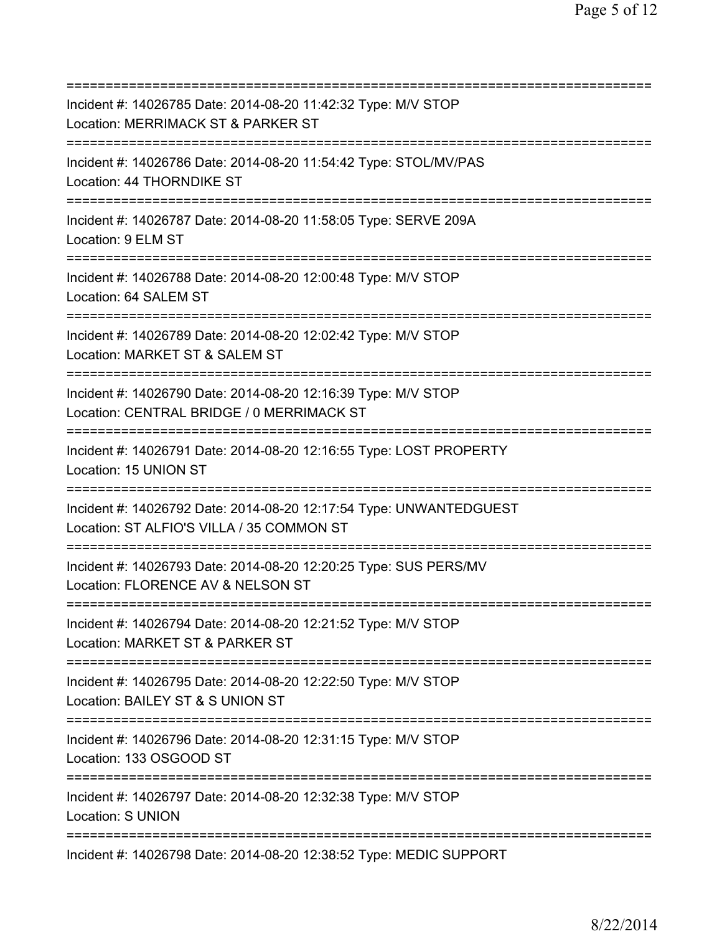| Incident #: 14026785 Date: 2014-08-20 11:42:32 Type: M/V STOP<br>Location: MERRIMACK ST & PARKER ST<br>=======================           |
|------------------------------------------------------------------------------------------------------------------------------------------|
| Incident #: 14026786 Date: 2014-08-20 11:54:42 Type: STOL/MV/PAS<br>Location: 44 THORNDIKE ST                                            |
| Incident #: 14026787 Date: 2014-08-20 11:58:05 Type: SERVE 209A<br>Location: 9 ELM ST                                                    |
| Incident #: 14026788 Date: 2014-08-20 12:00:48 Type: M/V STOP<br>Location: 64 SALEM ST                                                   |
| Incident #: 14026789 Date: 2014-08-20 12:02:42 Type: M/V STOP<br>Location: MARKET ST & SALEM ST<br>===================================== |
| Incident #: 14026790 Date: 2014-08-20 12:16:39 Type: M/V STOP<br>Location: CENTRAL BRIDGE / 0 MERRIMACK ST                               |
| Incident #: 14026791 Date: 2014-08-20 12:16:55 Type: LOST PROPERTY<br>Location: 15 UNION ST                                              |
| Incident #: 14026792 Date: 2014-08-20 12:17:54 Type: UNWANTEDGUEST<br>Location: ST ALFIO'S VILLA / 35 COMMON ST                          |
| Incident #: 14026793 Date: 2014-08-20 12:20:25 Type: SUS PERS/MV<br>Location: FLORENCE AV & NELSON ST                                    |
| Incident #: 14026794 Date: 2014-08-20 12:21:52 Type: M/V STOP<br>Location: MARKET ST & PARKER ST                                         |
| Incident #: 14026795 Date: 2014-08-20 12:22:50 Type: M/V STOP<br>Location: BAILEY ST & S UNION ST                                        |
| ;=========================<br>Incident #: 14026796 Date: 2014-08-20 12:31:15 Type: M/V STOP<br>Location: 133 OSGOOD ST                   |
| Incident #: 14026797 Date: 2014-08-20 12:32:38 Type: M/V STOP<br>Location: S UNION                                                       |
| Incident #: 14026798 Date: 2014-08-20 12:38:52 Type: MEDIC SUPPORT                                                                       |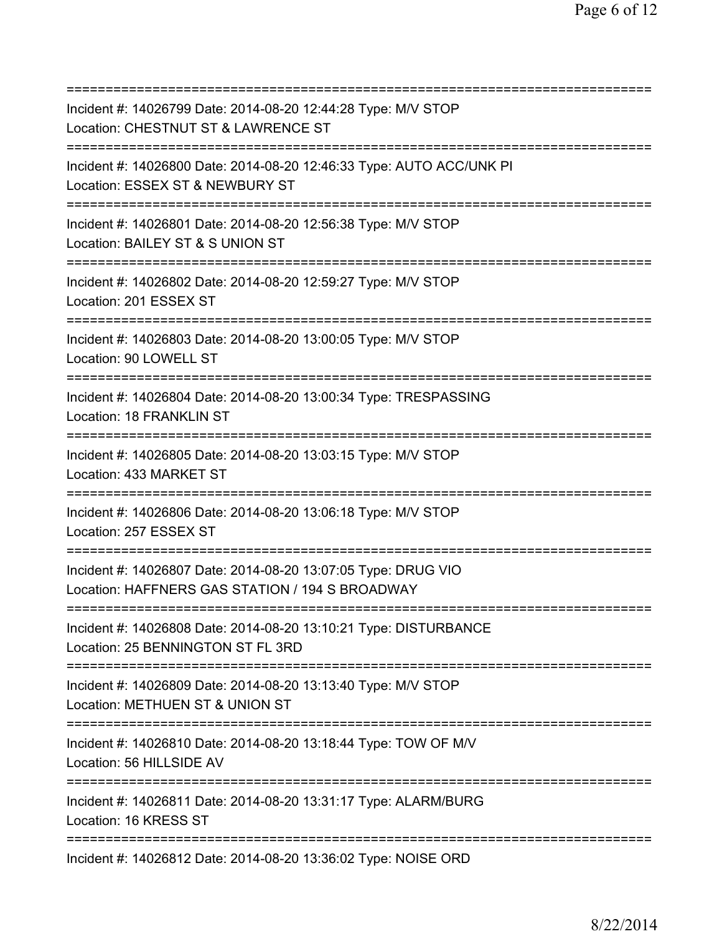| Incident #: 14026799 Date: 2014-08-20 12:44:28 Type: M/V STOP<br>Location: CHESTNUT ST & LAWRENCE ST                              |
|-----------------------------------------------------------------------------------------------------------------------------------|
| Incident #: 14026800 Date: 2014-08-20 12:46:33 Type: AUTO ACC/UNK PI<br>Location: ESSEX ST & NEWBURY ST                           |
| Incident #: 14026801 Date: 2014-08-20 12:56:38 Type: M/V STOP<br>Location: BAILEY ST & S UNION ST                                 |
| Incident #: 14026802 Date: 2014-08-20 12:59:27 Type: M/V STOP<br>Location: 201 ESSEX ST                                           |
| Incident #: 14026803 Date: 2014-08-20 13:00:05 Type: M/V STOP<br>Location: 90 LOWELL ST<br>=====================================  |
| Incident #: 14026804 Date: 2014-08-20 13:00:34 Type: TRESPASSING<br>Location: 18 FRANKLIN ST                                      |
| Incident #: 14026805 Date: 2014-08-20 13:03:15 Type: M/V STOP<br>Location: 433 MARKET ST                                          |
| Incident #: 14026806 Date: 2014-08-20 13:06:18 Type: M/V STOP<br>Location: 257 ESSEX ST                                           |
| Incident #: 14026807 Date: 2014-08-20 13:07:05 Type: DRUG VIO<br>Location: HAFFNERS GAS STATION / 194 S BROADWAY                  |
| Incident #: 14026808 Date: 2014-08-20 13:10:21 Type: DISTURBANCE<br>Location: 25 BENNINGTON ST FL 3RD                             |
| Incident #: 14026809 Date: 2014-08-20 13:13:40 Type: M/V STOP<br>Location: METHUEN ST & UNION ST                                  |
| Incident #: 14026810 Date: 2014-08-20 13:18:44 Type: TOW OF M/V<br>Location: 56 HILLSIDE AV                                       |
| =====================================<br>Incident #: 14026811 Date: 2014-08-20 13:31:17 Type: ALARM/BURG<br>Location: 16 KRESS ST |
| Incident #: 14026812 Date: 2014-08-20 13:36:02 Type: NOISE ORD                                                                    |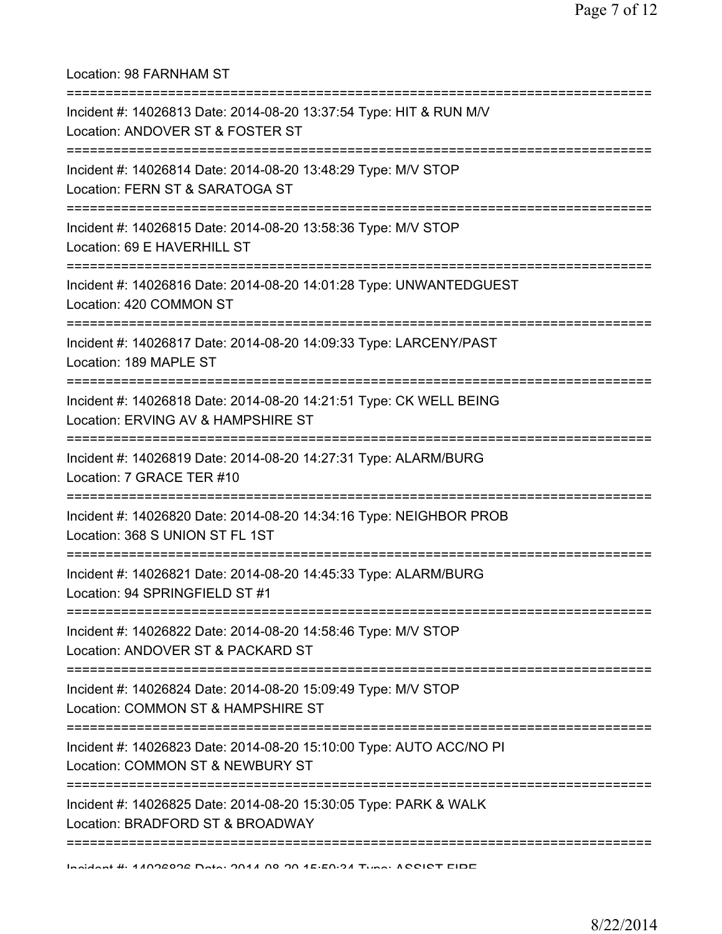Location: 98 FARNHAM ST =========================================================================== Incident #: 14026813 Date: 2014-08-20 13:37:54 Type: HIT & RUN M/V Location: ANDOVER ST & FOSTER ST =========================================================================== Incident #: 14026814 Date: 2014-08-20 13:48:29 Type: M/V STOP Location: FERN ST & SARATOGA ST =========================================================================== Incident #: 14026815 Date: 2014-08-20 13:58:36 Type: M/V STOP Location: 69 E HAVERHILL ST =========================================================================== Incident #: 14026816 Date: 2014-08-20 14:01:28 Type: UNWANTEDGUEST Location: 420 COMMON ST =========================================================================== Incident #: 14026817 Date: 2014-08-20 14:09:33 Type: LARCENY/PAST Location: 189 MAPLE ST =========================================================================== Incident #: 14026818 Date: 2014-08-20 14:21:51 Type: CK WELL BEING Location: ERVING AV & HAMPSHIRE ST =========================================================================== Incident #: 14026819 Date: 2014-08-20 14:27:31 Type: ALARM/BURG Location: 7 GRACE TER #10 =========================================================================== Incident #: 14026820 Date: 2014-08-20 14:34:16 Type: NEIGHBOR PROB Location: 368 S UNION ST FL 1ST =========================================================================== Incident #: 14026821 Date: 2014-08-20 14:45:33 Type: ALARM/BURG Location: 94 SPRINGFIELD ST #1 =========================================================================== Incident #: 14026822 Date: 2014-08-20 14:58:46 Type: M/V STOP Location: ANDOVER ST & PACKARD ST =========================================================================== Incident #: 14026824 Date: 2014-08-20 15:09:49 Type: M/V STOP Location: COMMON ST & HAMPSHIRE ST =========================================================================== Incident #: 14026823 Date: 2014-08-20 15:10:00 Type: AUTO ACC/NO PI Location: COMMON ST & NEWBURY ST =========================================================================== Incident #: 14026825 Date: 2014-08-20 15:30:05 Type: PARK & WALK Location: BRADFORD ST & BROADWAY ===========================================================================

Incident #: 14026826 Date: 2014 08 20 15:50:34 Type: ASSIST FIRE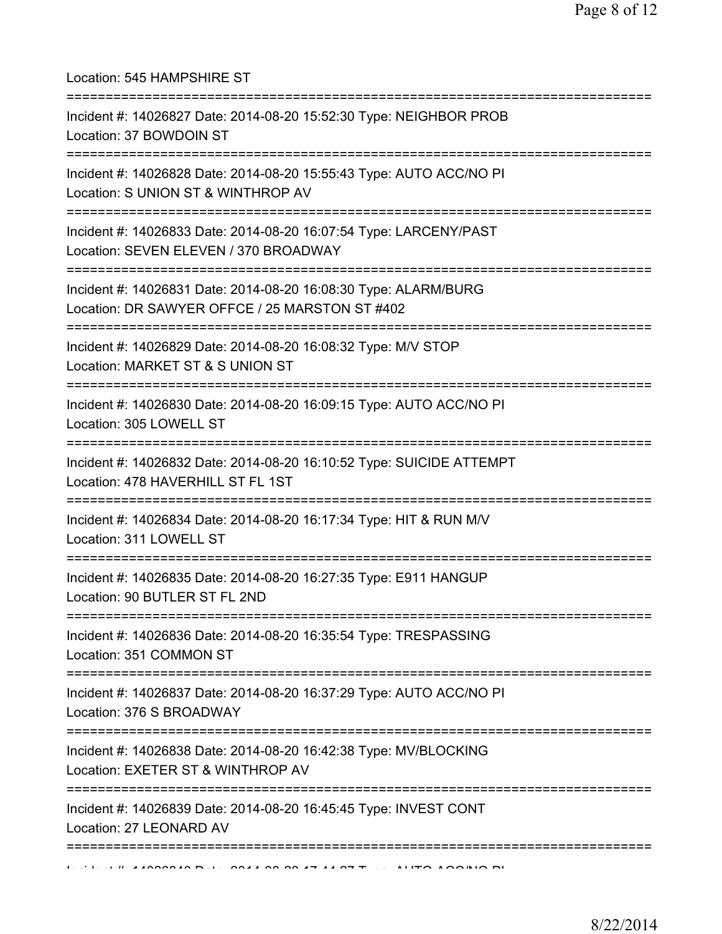Location: 545 HAMPSHIRE ST =========================================================================== Incident #: 14026827 Date: 2014-08-20 15:52:30 Type: NEIGHBOR PROB Location: 37 BOWDOIN ST =========================================================================== Incident #: 14026828 Date: 2014-08-20 15:55:43 Type: AUTO ACC/NO PI Location: S UNION ST & WINTHROP AV =========================================================================== Incident #: 14026833 Date: 2014-08-20 16:07:54 Type: LARCENY/PAST Location: SEVEN ELEVEN / 370 BROADWAY =========================================================================== Incident #: 14026831 Date: 2014-08-20 16:08:30 Type: ALARM/BURG Location: DR SAWYER OFFCE / 25 MARSTON ST #402 =========================================================================== Incident #: 14026829 Date: 2014-08-20 16:08:32 Type: M/V STOP Location: MARKET ST & S UNION ST =========================================================================== Incident #: 14026830 Date: 2014-08-20 16:09:15 Type: AUTO ACC/NO PI Location: 305 LOWELL ST =========================================================================== Incident #: 14026832 Date: 2014-08-20 16:10:52 Type: SUICIDE ATTEMPT Location: 478 HAVERHILL ST FL 1ST =========================================================================== Incident #: 14026834 Date: 2014-08-20 16:17:34 Type: HIT & RUN M/V Location: 311 LOWELL ST =========================================================================== Incident #: 14026835 Date: 2014-08-20 16:27:35 Type: E911 HANGUP Location: 90 BUTLER ST FL 2ND =========================================================================== Incident #: 14026836 Date: 2014-08-20 16:35:54 Type: TRESPASSING Location: 351 COMMON ST =========================================================================== Incident #: 14026837 Date: 2014-08-20 16:37:29 Type: AUTO ACC/NO PI Location: 376 S BROADWAY =========================================================================== Incident #: 14026838 Date: 2014-08-20 16:42:38 Type: MV/BLOCKING Location: EXETER ST & WINTHROP AV =========================================================================== Incident #: 14026839 Date: 2014-08-20 16:45:45 Type: INVEST CONT Location: 27 LEONARD AV ===========================================================================  $11.44020240$  Date: 2014.00.00.17:44.07 Type: AUTO ACC/NO PI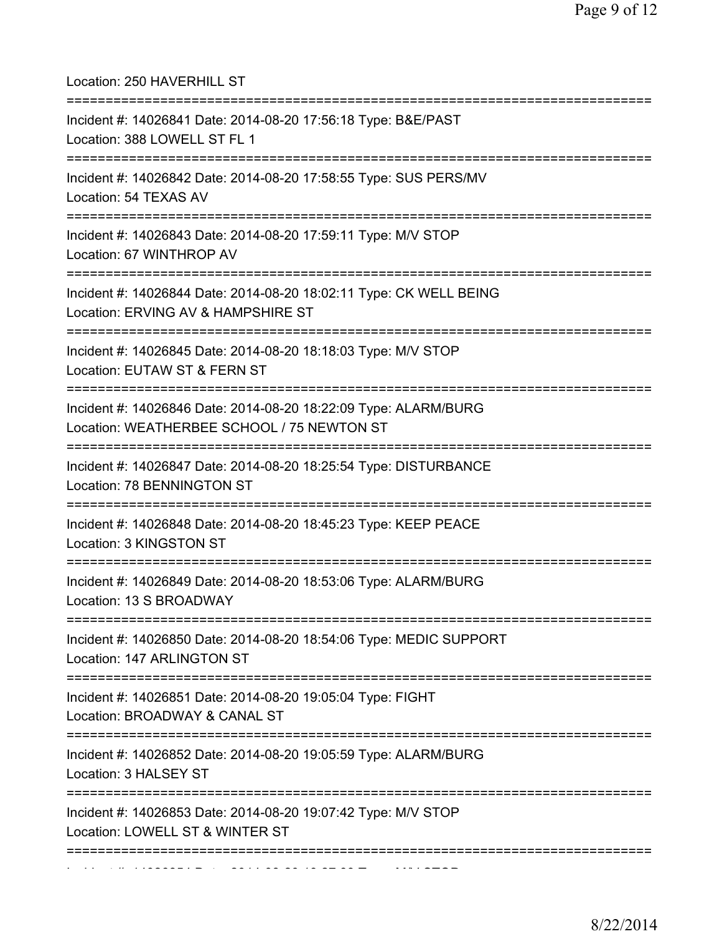| Location: 250 HAVERHILL ST                                                                                                         |
|------------------------------------------------------------------------------------------------------------------------------------|
| Incident #: 14026841 Date: 2014-08-20 17:56:18 Type: B&E/PAST<br>Location: 388 LOWELL ST FL 1                                      |
| Incident #: 14026842 Date: 2014-08-20 17:58:55 Type: SUS PERS/MV<br>Location: 54 TEXAS AV                                          |
| Incident #: 14026843 Date: 2014-08-20 17:59:11 Type: M/V STOP<br>Location: 67 WINTHROP AV                                          |
| Incident #: 14026844 Date: 2014-08-20 18:02:11 Type: CK WELL BEING<br>Location: ERVING AV & HAMPSHIRE ST                           |
| Incident #: 14026845 Date: 2014-08-20 18:18:03 Type: M/V STOP<br>Location: EUTAW ST & FERN ST                                      |
| Incident #: 14026846 Date: 2014-08-20 18:22:09 Type: ALARM/BURG<br>Location: WEATHERBEE SCHOOL / 75 NEWTON ST                      |
| Incident #: 14026847 Date: 2014-08-20 18:25:54 Type: DISTURBANCE<br>Location: 78 BENNINGTON ST                                     |
| ==========<br>Incident #: 14026848 Date: 2014-08-20 18:45:23 Type: KEEP PEACE<br>Location: 3 KINGSTON ST                           |
| Incident #: 14026849 Date: 2014-08-20 18:53:06 Type: ALARM/BURG<br>Location: 13 S BROADWAY                                         |
| Incident #: 14026850 Date: 2014-08-20 18:54:06 Type: MEDIC SUPPORT<br>Location: 147 ARLINGTON ST                                   |
| Incident #: 14026851 Date: 2014-08-20 19:05:04 Type: FIGHT<br>Location: BROADWAY & CANAL ST                                        |
| Incident #: 14026852 Date: 2014-08-20 19:05:59 Type: ALARM/BURG<br>Location: 3 HALSEY ST                                           |
| ;=============================<br>Incident #: 14026853 Date: 2014-08-20 19:07:42 Type: M/V STOP<br>Location: LOWELL ST & WINTER ST |
|                                                                                                                                    |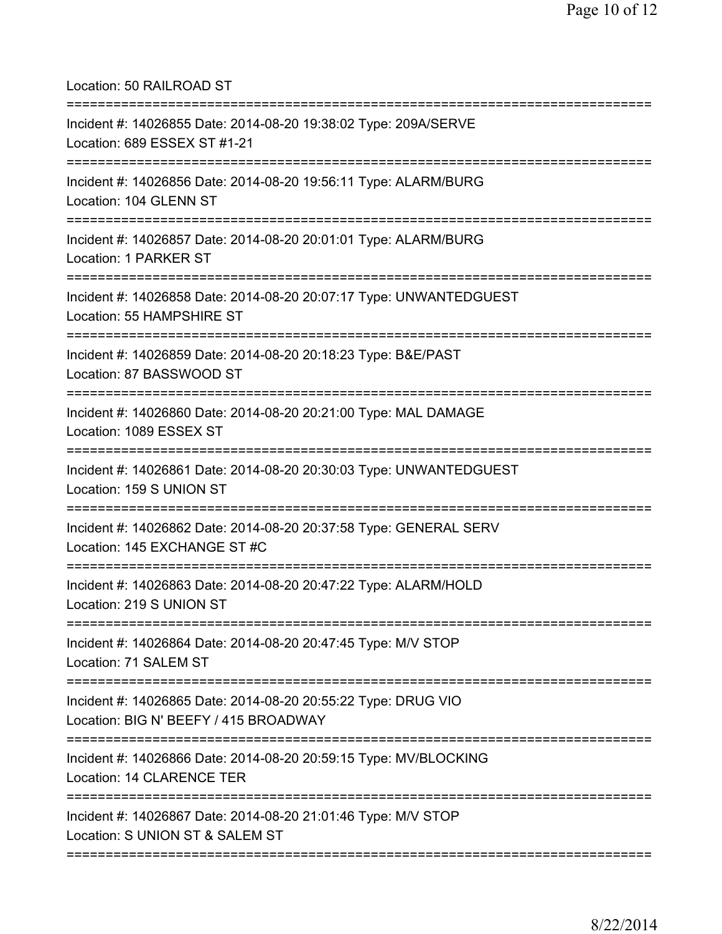Location: 50 RAILROAD ST

| Incident #: 14026855 Date: 2014-08-20 19:38:02 Type: 209A/SERVE<br>Location: 689 ESSEX ST #1-21                                  |
|----------------------------------------------------------------------------------------------------------------------------------|
| Incident #: 14026856 Date: 2014-08-20 19:56:11 Type: ALARM/BURG<br>Location: 104 GLENN ST                                        |
| Incident #: 14026857 Date: 2014-08-20 20:01:01 Type: ALARM/BURG<br>Location: 1 PARKER ST                                         |
| Incident #: 14026858 Date: 2014-08-20 20:07:17 Type: UNWANTEDGUEST<br>Location: 55 HAMPSHIRE ST                                  |
| Incident #: 14026859 Date: 2014-08-20 20:18:23 Type: B&E/PAST<br>Location: 87 BASSWOOD ST<br>;================================== |
| Incident #: 14026860 Date: 2014-08-20 20:21:00 Type: MAL DAMAGE<br>Location: 1089 ESSEX ST                                       |
| Incident #: 14026861 Date: 2014-08-20 20:30:03 Type: UNWANTEDGUEST<br>Location: 159 S UNION ST                                   |
| Incident #: 14026862 Date: 2014-08-20 20:37:58 Type: GENERAL SERV<br>Location: 145 EXCHANGE ST #C                                |
| Incident #: 14026863 Date: 2014-08-20 20:47:22 Type: ALARM/HOLD<br>Location: 219 S UNION ST                                      |
| Incident #: 14026864 Date: 2014-08-20 20:47:45 Type: M/V STOP<br>Location: 71 SALEM ST                                           |
| Incident #: 14026865 Date: 2014-08-20 20:55:22 Type: DRUG VIO<br>Location: BIG N' BEEFY / 415 BROADWAY                           |
| Incident #: 14026866 Date: 2014-08-20 20:59:15 Type: MV/BLOCKING<br>Location: 14 CLARENCE TER                                    |
| Incident #: 14026867 Date: 2014-08-20 21:01:46 Type: M/V STOP<br>Location: S UNION ST & SALEM ST                                 |
|                                                                                                                                  |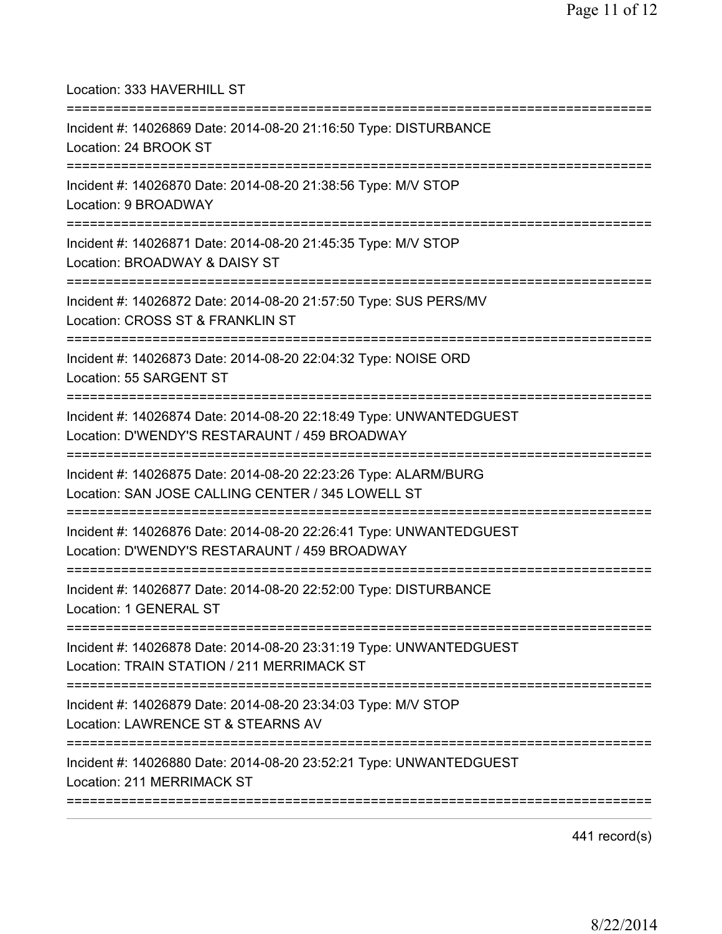| Location: 333 HAVERHILL ST                                                                                                             |
|----------------------------------------------------------------------------------------------------------------------------------------|
| Incident #: 14026869 Date: 2014-08-20 21:16:50 Type: DISTURBANCE<br>Location: 24 BROOK ST<br>=====================================     |
| Incident #: 14026870 Date: 2014-08-20 21:38:56 Type: M/V STOP<br>Location: 9 BROADWAY<br>===================================           |
| Incident #: 14026871 Date: 2014-08-20 21:45:35 Type: M/V STOP<br>Location: BROADWAY & DAISY ST<br>==================================== |
| Incident #: 14026872 Date: 2014-08-20 21:57:50 Type: SUS PERS/MV<br>Location: CROSS ST & FRANKLIN ST                                   |
| Incident #: 14026873 Date: 2014-08-20 22:04:32 Type: NOISE ORD<br>Location: 55 SARGENT ST<br>================================          |
| Incident #: 14026874 Date: 2014-08-20 22:18:49 Type: UNWANTEDGUEST<br>Location: D'WENDY'S RESTARAUNT / 459 BROADWAY                    |
| Incident #: 14026875 Date: 2014-08-20 22:23:26 Type: ALARM/BURG<br>Location: SAN JOSE CALLING CENTER / 345 LOWELL ST                   |
| Incident #: 14026876 Date: 2014-08-20 22:26:41 Type: UNWANTEDGUEST<br>Location: D'WENDY'S RESTARAUNT / 459 BROADWAY                    |
| Incident #: 14026877 Date: 2014-08-20 22:52:00 Type: DISTURBANCE<br>Location: 1 GENERAL ST                                             |
| Incident #: 14026878 Date: 2014-08-20 23:31:19 Type: UNWANTEDGUEST<br>Location: TRAIN STATION / 211 MERRIMACK ST                       |
| Incident #: 14026879 Date: 2014-08-20 23:34:03 Type: M/V STOP<br>Location: LAWRENCE ST & STEARNS AV                                    |
| :=============================<br>Incident #: 14026880 Date: 2014-08-20 23:52:21 Type: UNWANTEDGUEST<br>Location: 211 MERRIMACK ST     |
|                                                                                                                                        |

441 record(s)